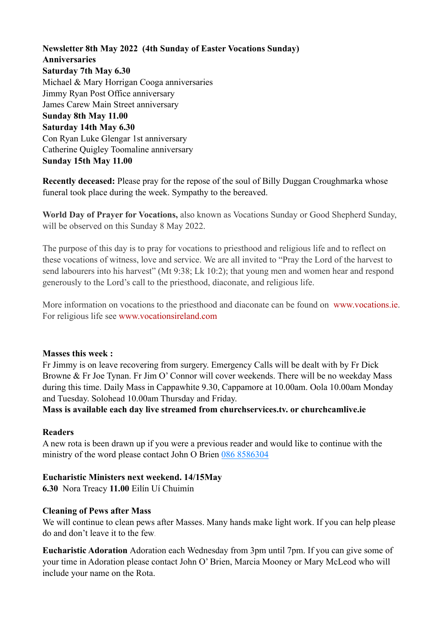**Newsletter 8th May 2022 (4th Sunday of Easter Vocations Sunday) Anniversaries Saturday 7th May 6.30**  Michael & Mary Horrigan Cooga anniversaries Jimmy Ryan Post Office anniversary James Carew Main Street anniversary **Sunday 8th May 11.00 Saturday 14th May 6.30**  Con Ryan Luke Glengar 1st anniversary Catherine Quigley Toomaline anniversary **Sunday 15th May 11.00** 

**Recently deceased:** Please pray for the repose of the soul of Billy Duggan Croughmarka whose funeral took place during the week. Sympathy to the bereaved.

**World Day of Prayer for Vocations,** also known as Vocations Sunday or Good Shepherd Sunday, will be observed on this Sunday 8 May 2022.

The purpose of this day is to pray for vocations to priesthood and religious life and to reflect on these vocations of witness, love and service. We are all invited to "Pray the Lord of the harvest to send labourers into his harvest" (Mt 9:38; Lk 10:2); that young men and women hear and respond generously to the Lord's call to the priesthood, diaconate, and religious life.

More information on vocations to the priesthood and diaconate can be found on [www.vocations.ie](javascript:disclaimer(%22http://www.vocations.ie%22);). For religious life see [www.vocationsireland.com](javascript:disclaimer(%22http://www.vocationsireland.com%22);)

### **Masses this week :**

Fr Jimmy is on leave recovering from surgery. Emergency Calls will be dealt with by Fr Dick Browne & Fr Joe Tynan. Fr Jim O' Connor will cover weekends. There will be no weekday Mass during this time. Daily Mass in Cappawhite 9.30, Cappamore at 10.00am. Oola 10.00am Monday and Tuesday. Solohead 10.00am Thursday and Friday.

**Mass is available each day live streamed from churchservices.tv. or [churchcamlive.ie](http://churchcamlive.ie)** 

### **Readers**

A new rota is been drawn up if you were a previous reader and would like to continue with the ministry of the word please contact John O Brien 086 8586304

### **Eucharistic Ministers next weekend. 14/15May**

**6.30** Nora Treacy **11.00** Eilín Uí Chuimín

### **Cleaning of Pews after Mass**

We will continue to clean pews after Masses. Many hands make light work. If you can help please do and don't leave it to the few.

**Eucharistic Adoration** Adoration each Wednesday from 3pm until 7pm. If you can give some of your time in Adoration please contact John O' Brien, Marcia Mooney or Mary McLeod who will include your name on the Rota.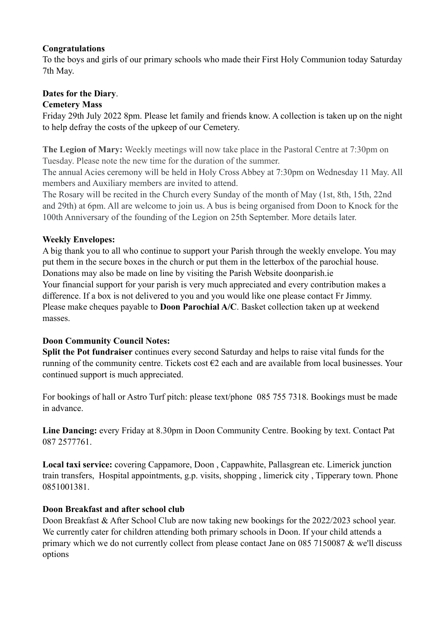### **Congratulations**

To the boys and girls of our primary schools who made their First Holy Communion today Saturday 7th May.

# **Dates for the Diary**.

## **Cemetery Mass**

Friday 29th July 2022 8pm. Please let family and friends know. A collection is taken up on the night to help defray the costs of the upkeep of our Cemetery.

**The Legion of Mary:** Weekly meetings will now take place in the Pastoral Centre at 7:30pm on Tuesday. Please note the new time for the duration of the summer.

The annual Acies ceremony will be held in Holy Cross Abbey at 7:30pm on Wednesday 11 May. All members and Auxiliary members are invited to attend.

The Rosary will be recited in the Church every Sunday of the month of May (1st, 8th, 15th, 22nd and 29th) at 6pm. All are welcome to join us. A bus is being organised from Doon to Knock for the 100th Anniversary of the founding of the Legion on 25th September. More details later.

## **Weekly Envelopes:**

A big thank you to all who continue to support your Parish through the weekly envelope. You may put them in the secure boxes in the church or put them in the letterbox of the parochial house. Donations may also be made on line by visiting the Parish Website [doonparish.ie](http://doonparish.ie) Your financial support for your parish is very much appreciated and every contribution makes a difference. If a box is not delivered to you and you would like one please contact Fr Jimmy. Please make cheques payable to **Doon Parochial A/C**. Basket collection taken up at weekend masses.

# **Doon Community Council Notes:**

**Split the Pot fundraiser** continues every second Saturday and helps to raise vital funds for the running of the community centre. Tickets cost €2 each and are available from local businesses. Your continued support is much appreciated.

For bookings of hall or Astro Turf pitch: please text/phone 085 755 7318. Bookings must be made in advance.

**Line Dancing:** every Friday at 8.30pm in Doon Community Centre. Booking by text. Contact Pat 087 2577761.

**Local taxi service:** covering Cappamore, Doon , Cappawhite, Pallasgrean etc. Limerick junction train transfers, Hospital appointments, g.p. visits, shopping , limerick city , Tipperary town. Phone 0851001381.

# **Doon Breakfast and after school club**

Doon Breakfast & After School Club are now taking new bookings for the 2022/2023 school year. We currently cater for children attending both primary schools in Doon. If your child attends a primary which we do not currently collect from please contact Jane on 085 7150087 & we'll discuss options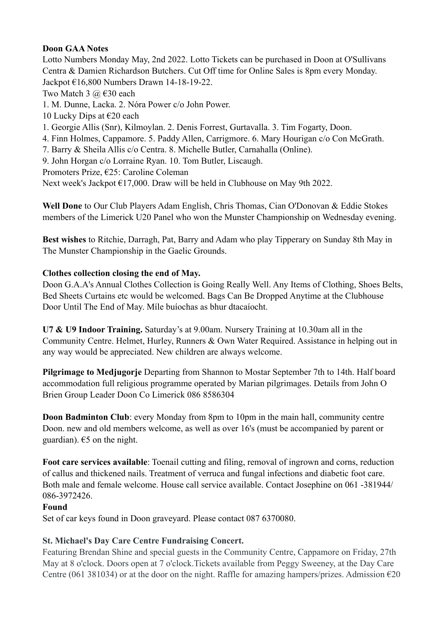## **Doon GAA Notes**

Lotto Numbers Monday May, 2nd 2022. Lotto Tickets can be purchased in Doon at O'Sullivans Centra & Damien Richardson Butchers. Cut Off time for Online Sales is 8pm every Monday. Jackpot €16,800 Numbers Drawn 14-18-19-22. Two Match 3  $\omega$   $\in$  30 each 1. M. Dunne, Lacka. 2. Nóra Power c/o John Power. 10 Lucky Dips at  $\epsilon$ 20 each 1. Georgie Allis (Snr), Kilmoylan. 2. Denis Forrest, Gurtavalla. 3. Tim Fogarty, Doon. 4. Finn Holmes, Cappamore. 5. Paddy Allen, Carrigmore. 6. Mary Hourigan c/o Con McGrath. 7. Barry & Sheila Allis c/o Centra. 8. Michelle Butler, Carnahalla (Online). 9. John Horgan c/o Lorraine Ryan. 10. Tom Butler, Liscaugh. Promoters Prize, €25: Caroline Coleman Next week's Jackpot €17,000. Draw will be held in Clubhouse on May 9th 2022.

**Well Done** to Our Club Players Adam English, Chris Thomas, Cian O'Donovan & Eddie Stokes members of the Limerick U20 Panel who won the Munster Championship on Wednesday evening.

**Best wishes** to Ritchie, Darragh, Pat, Barry and Adam who play Tipperary on Sunday 8th May in The Munster Championship in the Gaelic Grounds.

# **Clothes collection closing the end of May.**

Doon G.A.A's Annual Clothes Collection is Going Really Well. Any Items of Clothing, Shoes Belts, Bed Sheets Curtains etc would be welcomed. Bags Can Be Dropped Anytime at the Clubhouse Door Until The End of May. Míle buíochas as bhur dtacaíocht.

**U7 & U9 Indoor Training.** Saturday's at 9.00am. Nursery Training at 10.30am all in the Community Centre. Helmet, Hurley, Runners & Own Water Required. Assistance in helping out in any way would be appreciated. New children are always welcome.

**Pilgrimage to Medjugorje** Departing from Shannon to Mostar September 7th to 14th. Half board accommodation full religious programme operated by Marian pilgrimages. Details from John O Brien Group Leader Doon Co Limerick 086 8586304

**Doon Badminton Club**: every Monday from 8pm to 10pm in the main hall, community centre Doon. new and old members welcome, as well as over 16's (must be accompanied by parent or guardian).  $65$  on the night.

**Foot care services available**: Toenail cutting and filing, removal of ingrown and corns, reduction of callus and thickened nails. Treatment of verruca and fungal infections and diabetic foot care. Both male and female welcome. House call service available. Contact Josephine on 061 -381944/ 086-3972426.

### **Found**

Set of car keys found in Doon graveyard. Please contact 087 6370080.

# **St. Michael's Day Care Centre Fundraising Concert.**

Featuring Brendan Shine and special guests in the Community Centre, Cappamore on Friday, 27th May at 8 o'clock. Doors open at 7 o'clock.Tickets available from Peggy Sweeney, at the Day Care Centre (061 381034) or at the door on the night. Raffle for amazing hampers/prizes. Admission  $\epsilon$ 20